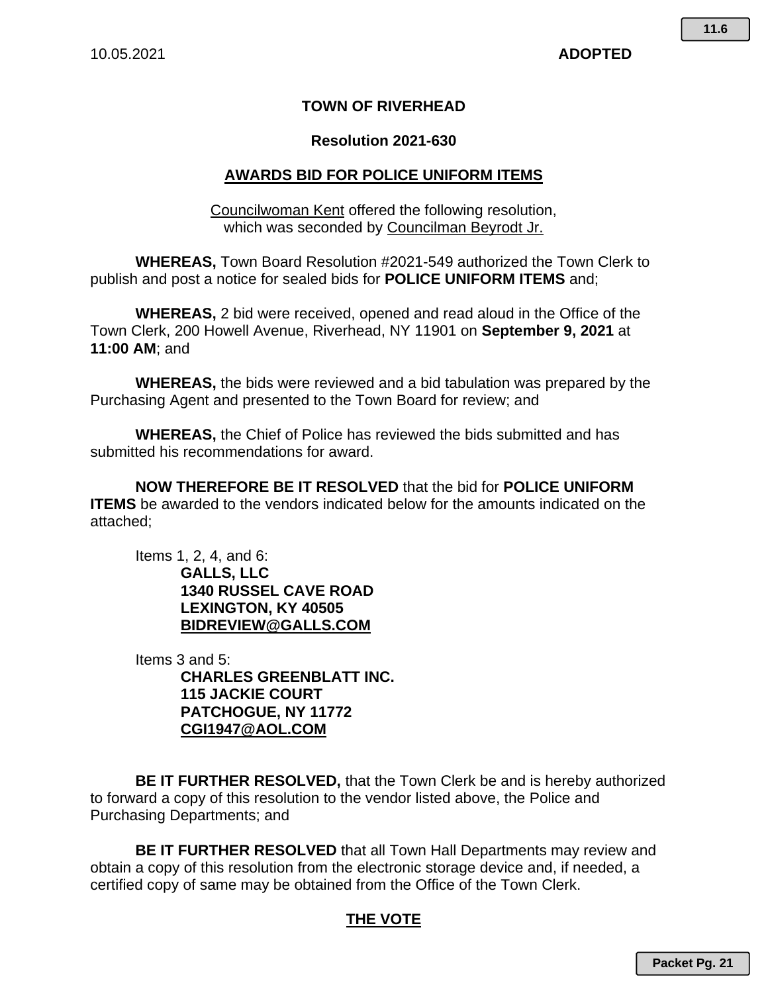## **TOWN OF RIVERHEAD**

### **Resolution 2021-630**

## **AWARDS BID FOR POLICE UNIFORM ITEMS**

Councilwoman Kent offered the following resolution, which was seconded by Councilman Beyrodt Jr.

**WHEREAS,** Town Board Resolution #2021-549 authorized the Town Clerk to publish and post a notice for sealed bids for **POLICE UNIFORM ITEMS** and;

**WHEREAS,** 2 bid were received, opened and read aloud in the Office of the Town Clerk, 200 Howell Avenue, Riverhead, NY 11901 on **September 9, 2021** at **11:00 AM**; and

**WHEREAS,** the bids were reviewed and a bid tabulation was prepared by the Purchasing Agent and presented to the Town Board for review; and

**WHEREAS,** the Chief of Police has reviewed the bids submitted and has submitted his recommendations for award.

**NOW THEREFORE BE IT RESOLVED** that the bid for **POLICE UNIFORM ITEMS** be awarded to the vendors indicated below for the amounts indicated on the attached;

Items 1, 2, 4, and 6: **GALLS, LLC 1340 RUSSEL CAVE ROAD LEXINGTON, KY 40505 BIDREVIEW@GALLS.COM** 

Items 3 and 5: **CHARLES GREENBLATT INC. 115 JACKIE COURT PATCHOGUE, NY 11772 CGI1947@AOL.COM** 

**BE IT FURTHER RESOLVED,** that the Town Clerk be and is hereby authorized to forward a copy of this resolution to the vendor listed above, the Police and Purchasing Departments; and

**BE IT FURTHER RESOLVED** that all Town Hall Departments may review and obtain a copy of this resolution from the electronic storage device and, if needed, a certified copy of same may be obtained from the Office of the Town Clerk.

## **THE VOTE**

**Packet Pg. 21**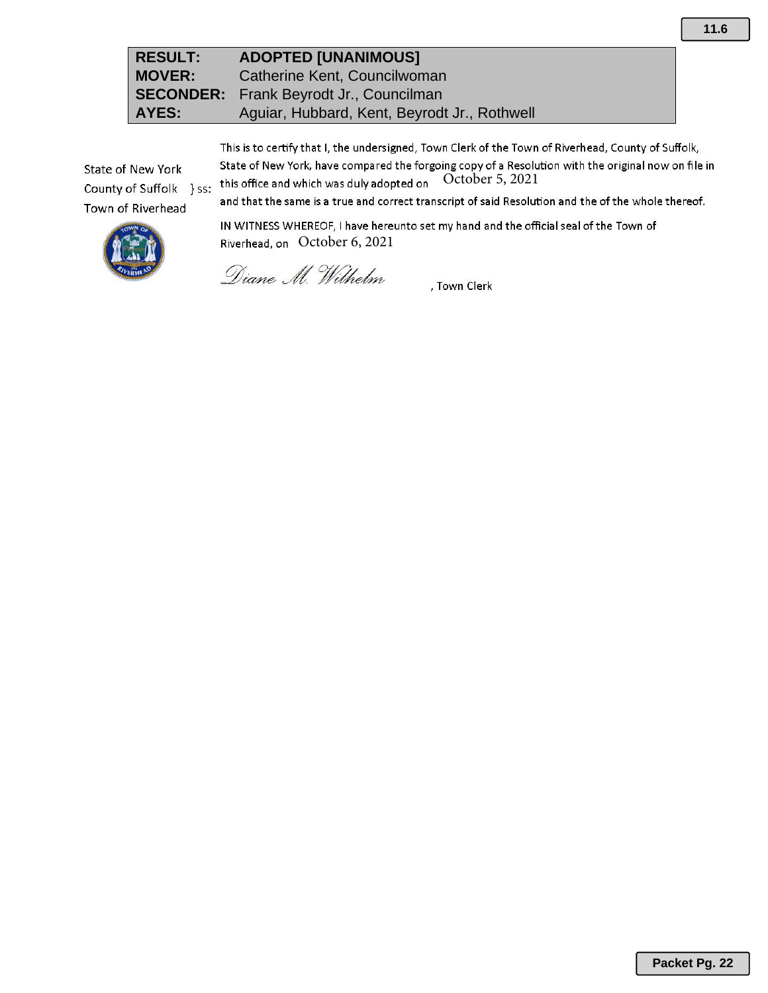| <b>RESULT:</b> | <b>ADOPTED [UNANIMOUS]</b>                     |
|----------------|------------------------------------------------|
| <b>MOVER:</b>  | Catherine Kent, Councilwoman                   |
|                | <b>SECONDER:</b> Frank Beyrodt Jr., Councilman |
| AYES:          | Aguiar, Hubbard, Kent, Beyrodt Jr., Rothwell   |
|                |                                                |

This is to certify that I, the undersigned, Town Clerk of the Town of Riverhead, County of Suffolk, State of New York, have compared the forgoing copy of a Resolution with the original now on file in October 5, 2021 this office and which was duly adopted on

State of New York County of Suffolk } ss: Town of Riverhead

and that the same is a true and correct transcript of said Resolution and the of the whole thereof.

IN WITNESS WHEREOF, I have hereunto set my hand and the official seal of the Town of Riverhead, on October 6, 2021

Diane M. Wilhelm

, Town Clerk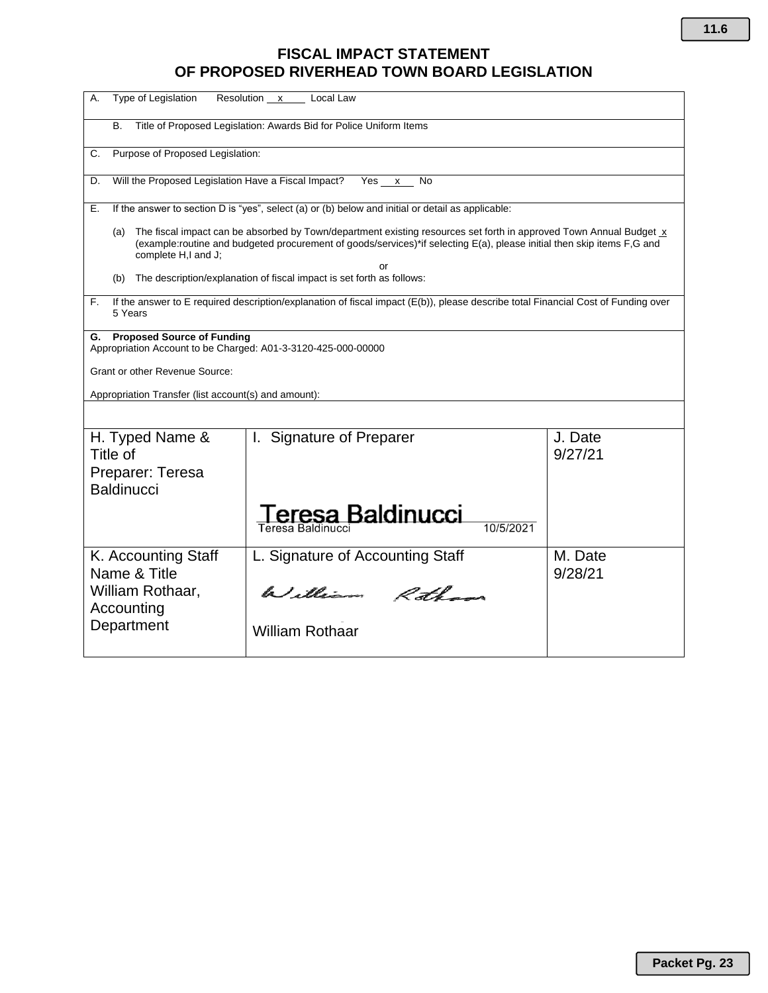# **FISCAL IMPACT STATEMENT OF PROPOSED RIVERHEAD TOWN BOARD LEGISLATION**

| Type of Legislation<br>А.                                                                                | Resolution x<br>Local Law                                                                                                                                                                                                                    |                    |
|----------------------------------------------------------------------------------------------------------|----------------------------------------------------------------------------------------------------------------------------------------------------------------------------------------------------------------------------------------------|--------------------|
| В.                                                                                                       | Title of Proposed Legislation: Awards Bid for Police Uniform Items                                                                                                                                                                           |                    |
| Purpose of Proposed Legislation:<br>C.                                                                   |                                                                                                                                                                                                                                              |                    |
| Will the Proposed Legislation Have a Fiscal Impact?<br>D.                                                | Yes x<br>No                                                                                                                                                                                                                                  |                    |
| Е.                                                                                                       | If the answer to section D is "yes", select (a) or (b) below and initial or detail as applicable:                                                                                                                                            |                    |
| (a)<br>complete H,I and J;                                                                               | The fiscal impact can be absorbed by Town/department existing resources set forth in approved Town Annual Budget x<br>(example:routine and budgeted procurement of goods/services)*if selecting E(a), please initial then skip items F,G and |                    |
| (b)                                                                                                      | The description/explanation of fiscal impact is set forth as follows:                                                                                                                                                                        |                    |
| F.<br>5 Years                                                                                            | If the answer to E required description/explanation of fiscal impact (E(b)), please describe total Financial Cost of Funding over                                                                                                            |                    |
| <b>Proposed Source of Funding</b><br>G.<br>Appropriation Account to be Charged: A01-3-3120-425-000-00000 |                                                                                                                                                                                                                                              |                    |
| Grant or other Revenue Source:                                                                           |                                                                                                                                                                                                                                              |                    |
| Appropriation Transfer (list account(s) and amount):                                                     |                                                                                                                                                                                                                                              |                    |
|                                                                                                          |                                                                                                                                                                                                                                              |                    |
| H. Typed Name &<br>Title of                                                                              | I. Signature of Preparer                                                                                                                                                                                                                     | J. Date<br>9/27/21 |
| Preparer: Teresa<br><b>Baldinucci</b>                                                                    |                                                                                                                                                                                                                                              |                    |
|                                                                                                          | eresa Baldinucci<br>10/5/2021<br>Teresa Baldinucci                                                                                                                                                                                           |                    |
| K. Accounting Staff<br>Name & Title                                                                      | L. Signature of Accounting Staff                                                                                                                                                                                                             | M. Date<br>9/28/21 |
| William Rothaar,<br>Accounting                                                                           | William Rothans                                                                                                                                                                                                                              |                    |
| Department                                                                                               | <b>William Rothaar</b>                                                                                                                                                                                                                       |                    |